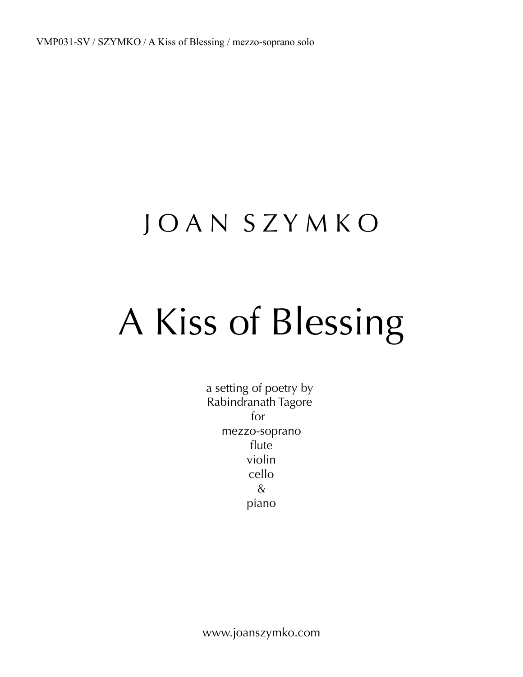VMP031-SV / SZYMKO / A Kiss of Blessing / mezzo-soprano solo

## J O A N S Z Y M K O

## A Kiss of Blessing

a setting of poetry by Rabindranath Tagore for mezzo-soprano flute violin cello & piano

www.joanszymko.com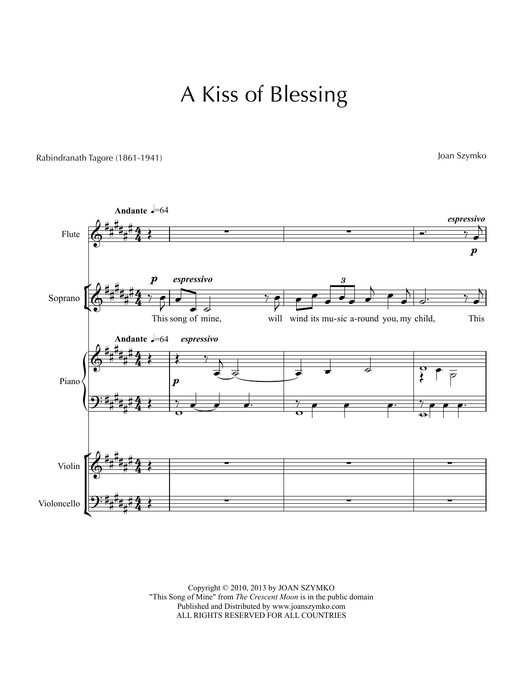A Kiss of Blessing

Rabindranath Tagore (1861-1941) **State Controller State Controller State Controller State Controller State Controller State Controller State Controller State Controller State Controller State Controller State Controller St** 



Copyright © 2010, 2013 by JOAN SZYMKO "This Song of Mine" from *The Crescent Moon* is in the public domain Published and Distributed by www.joanszymko.com ALL RIGHTS RESERVED FOR ALL COUNTRIES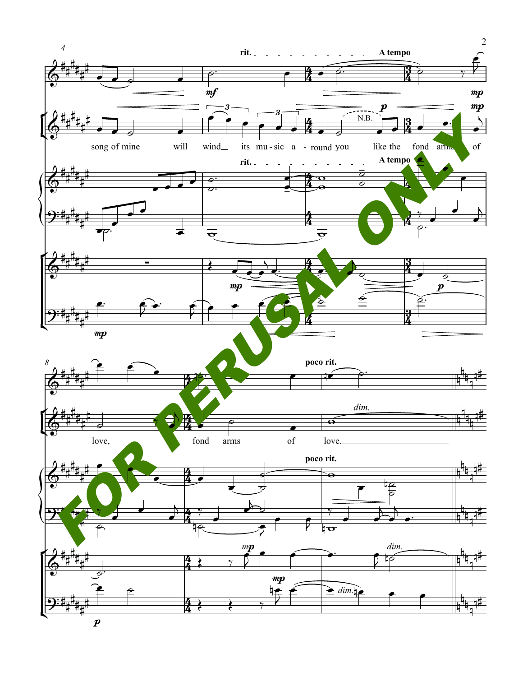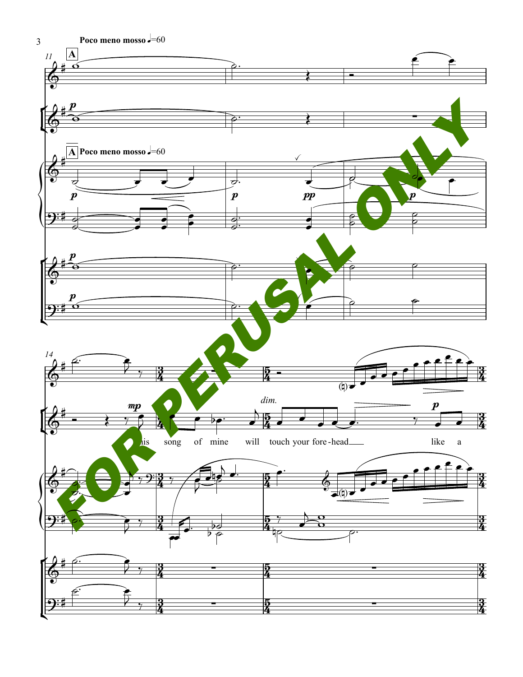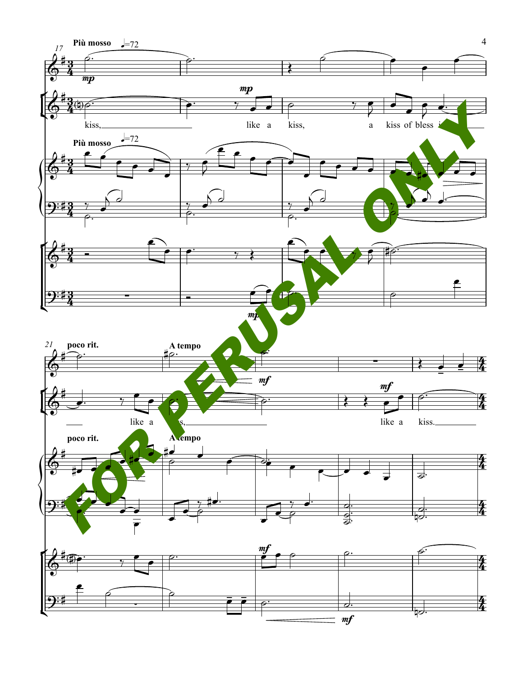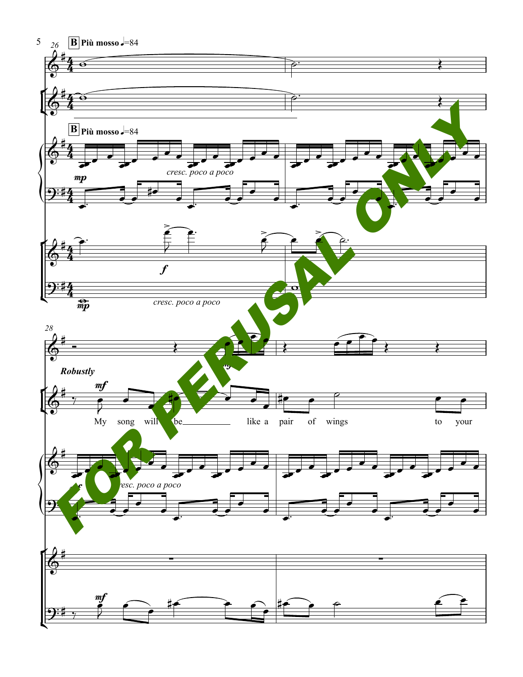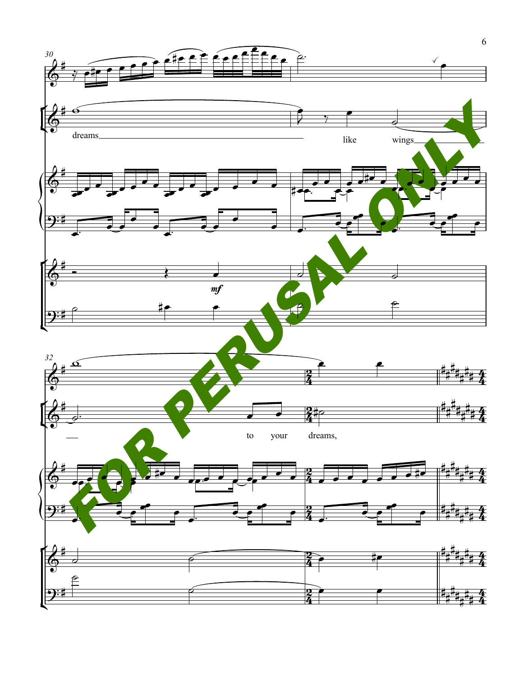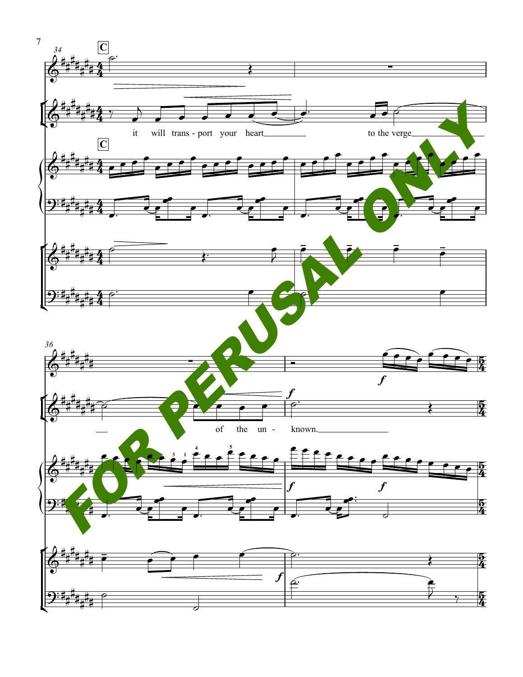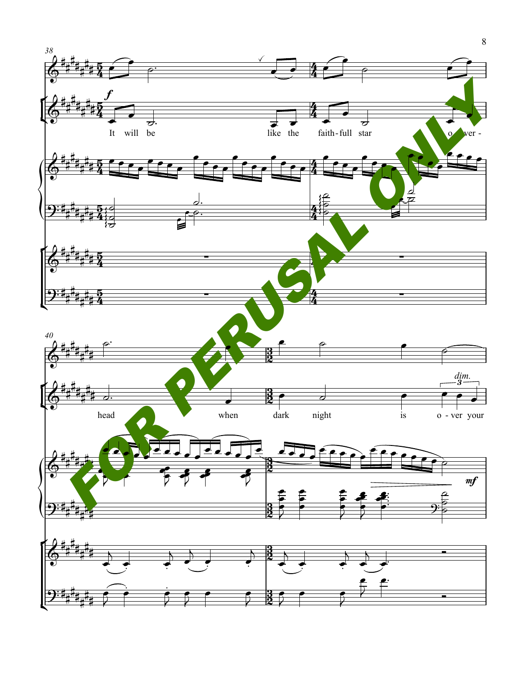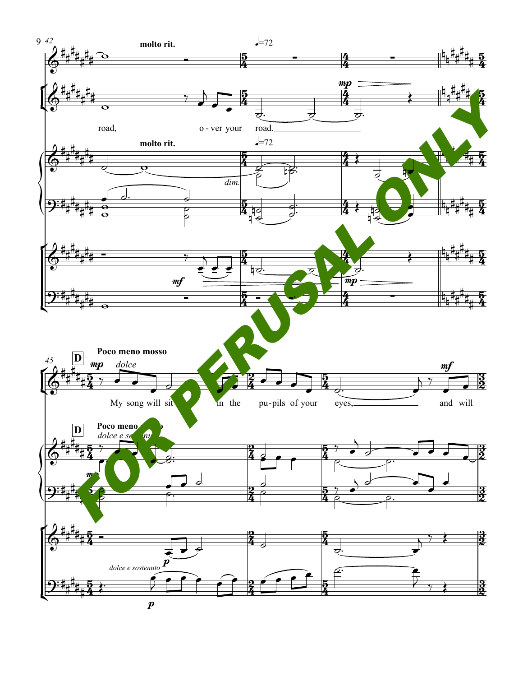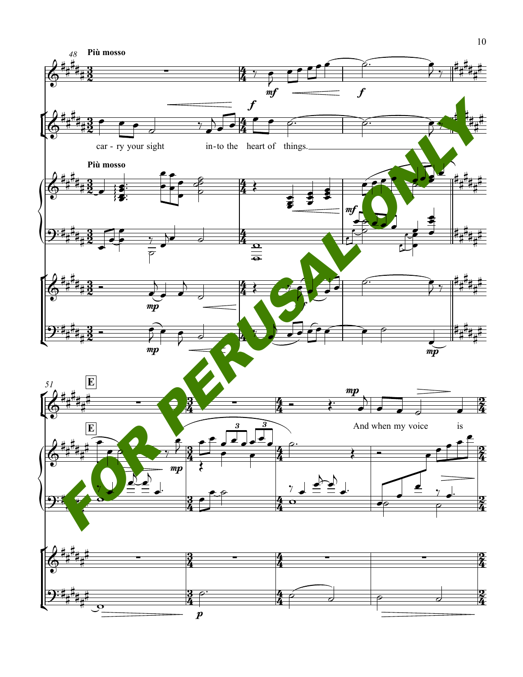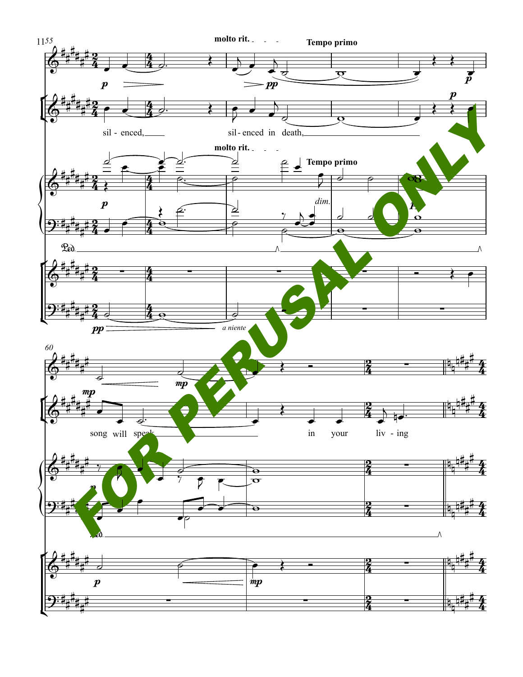